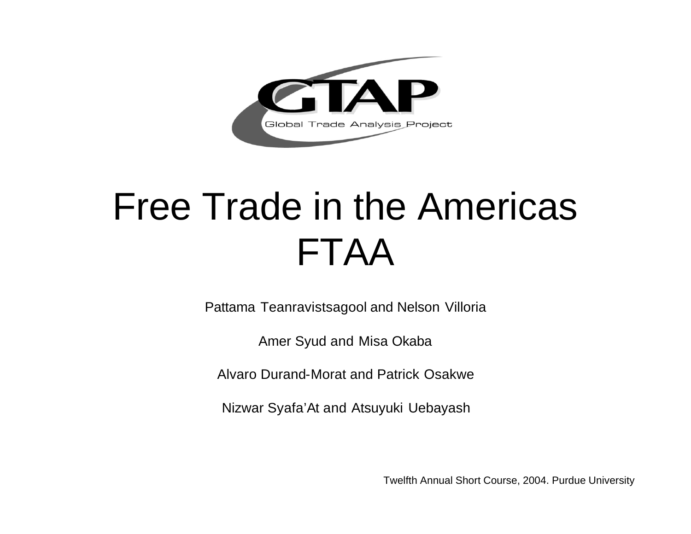

Pattama Teanravistsagool and Nelson Villoria

Amer Syud and Misa Okaba

Alvaro Durand-Morat and Patrick Osakwe

Nizwar Syafa'At and Atsuyuki Uebayash

Twelfth Annual Short Course, 2004. Purdue University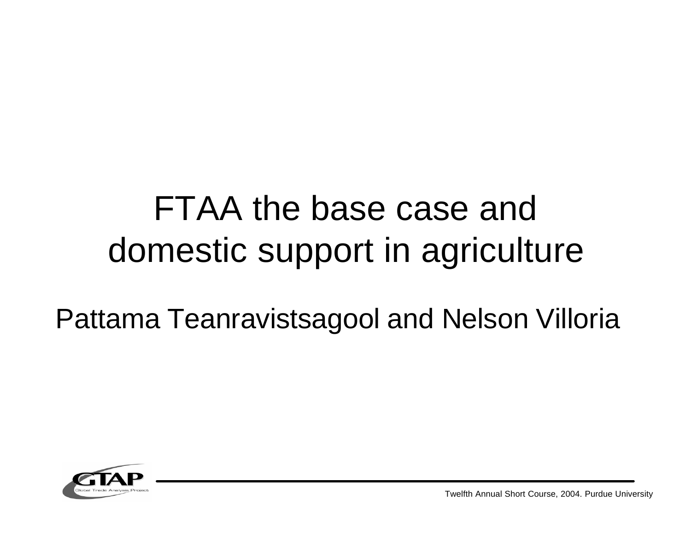### FTAA the base case and domestic support in agriculture

### Pattama Teanravistsagool and Nelson Villoria



Twelfth Annual Short Course, 2004. Purdue University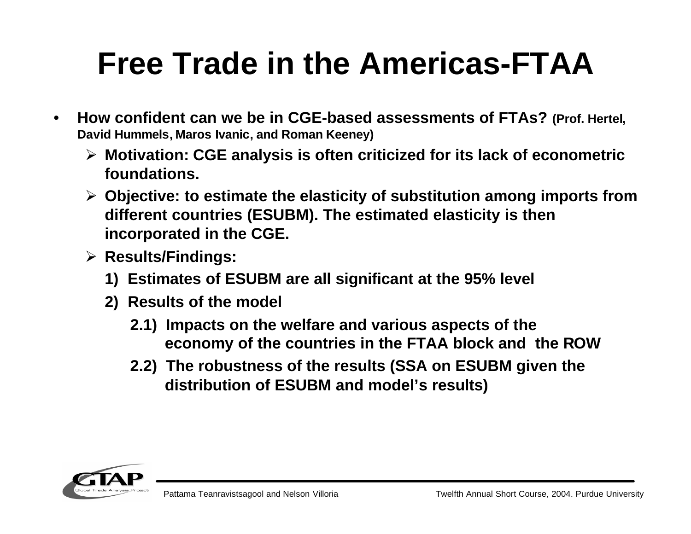- **How confident can we be in CGE-based assessments of FTAs? (Prof. Hertel, David Hummels, Maros Ivanic, and Roman Keeney)** 
	- ÿ **Motivation: CGE analysis is often criticized for its lack of econometric foundations.**
	- ÿ **Objective: to estimate the elasticity of substitution among imports from different countries (ESUBM). The estimated elasticity is then incorporated in the CGE.**
	- ÿ **Results/Findings:**
		- **1) Estimates of ESUBM are all significant at the 95% level**
		- **2) Results of the model** 
			- **2.1) Impacts on the welfare and various aspects of the economy of the countries in the FTAA block and the ROW**
			- **2.2) The robustness of the results (SSA on ESUBM given the distribution of ESUBM and model's results)**

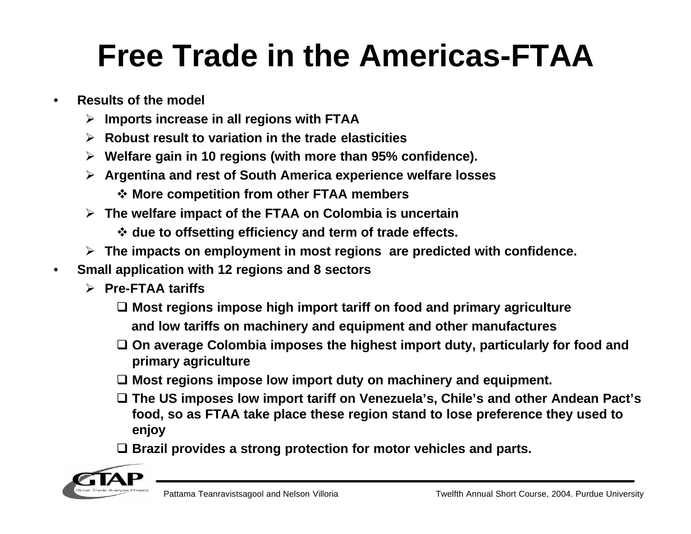- **Results of the model**
	- ÿ **Imports increase in all regions with FTAA**
	- ÿ **Robust result to variation in the trade elasticities**
	- ÿ **Welfare gain in 10 regions (with more than 95% confidence).**
	- ÿ **Argentina and rest of South America experience welfare losses** 
		- v **More competition from other FTAA members**
	- ÿ **The welfare impact of the FTAA on Colombia is uncertain** 
		- $\diamond$  **due to offsetting efficiency and term of trade effects.**
	- ÿ **The impacts on employment in most regions are predicted with confidence.**
- **Small application with 12 regions and 8 sectors**
	- ÿ **Pre-FTAA tariffs**
		- □ Most regions impose high import tariff on food and primary agriculture **and low tariffs on machinery and equipment and other manufactures**
		- □ On average Colombia imposes the highest import duty, particularly for food and **primary agriculture**
		- □ Most regions impose low import duty on machinery and equipment.
		- □ The US imposes low import tariff on Venezuela's, Chile's and other Andean Pact's **food, so as FTAA take place these region stand to lose preference they used to enjoy**
		- □ Brazil provides a strong protection for motor vehicles and parts.

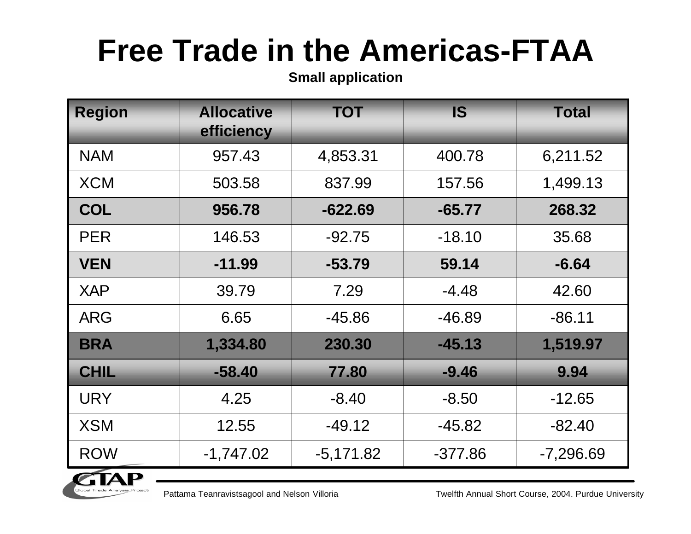**Small application**

| <b>Region</b> | <b>Allocative</b><br>efficiency | <b>TOT</b>  | <b>IS</b> | <b>Total</b> |
|---------------|---------------------------------|-------------|-----------|--------------|
| <b>NAM</b>    | 957.43                          | 4,853.31    | 400.78    | 6,211.52     |
| <b>XCM</b>    | 503.58                          | 837.99      | 157.56    | 1,499.13     |
| <b>COL</b>    | 956.78                          | $-622.69$   | $-65.77$  | 268.32       |
| <b>PER</b>    | 146.53                          | $-92.75$    | $-18.10$  | 35.68        |
| <b>VEN</b>    | $-11.99$                        | $-53.79$    | 59.14     | $-6.64$      |
| <b>XAP</b>    | 39.79                           | 7.29        | $-4.48$   | 42.60        |
| <b>ARG</b>    | 6.65                            | $-45.86$    | $-46.89$  | $-86.11$     |
| <b>BRA</b>    | 1,334.80                        | 230.30      | $-45.13$  | 1,519.97     |
| <b>CHIL</b>   | $-58.40$                        | 77.80       | $-9.46$   | 9.94         |
| <b>URY</b>    | 4.25                            | $-8.40$     | $-8.50$   | $-12.65$     |
| <b>XSM</b>    | 12.55                           | $-49.12$    | $-45.82$  | $-82.40$     |
| <b>ROW</b>    | $-1,747.02$                     | $-5,171.82$ | $-377.86$ | $-7,296.69$  |



Pattama Teanravistsagool and Nelson Villoria Tubecon Twelfth Annual Short Course, 2004. Purdue University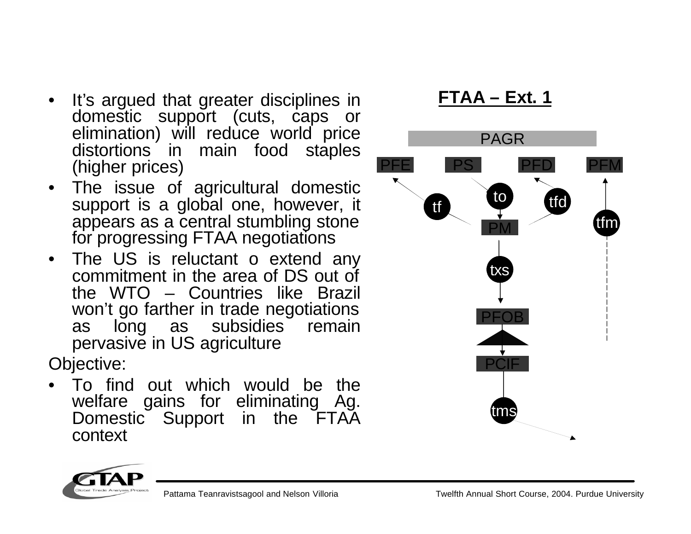- It's argued that greater disciplines in **FTAA – Ext. 1** domestic support (cuts, caps or elimination) will reduce world price distortions in main food staples (higher prices)
- The issue of agricultural domestic support is a global one, however, it appears as a central stumbling stone for progressing FTAA negotiations
- The US is reluctant o extend any commitment in the area of DS out of the WTO – Countries like Brazil won't go farther in trade negotiations as long as subsidies remain pervasive in US agriculture

Objective:

• To find out which would be the welfare gains for eliminating Ag. Domestic Support in the FTAA context



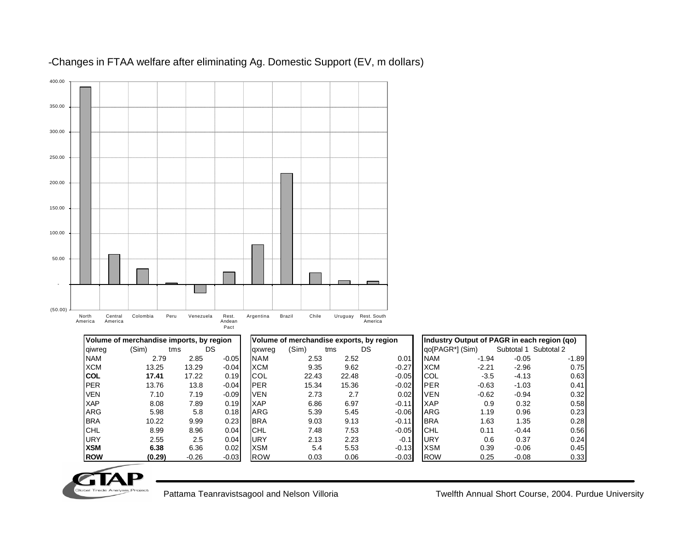

#### -Changes in FTAA welfare after eliminating Ag. Domestic Support (EV, m dollars)

|            | Volume of merchandise imports, by region |         |         |             | Volume of merchandise exports, by region |       |           |            | Industry Output of PAGR in each region (qo) |                       |         |
|------------|------------------------------------------|---------|---------|-------------|------------------------------------------|-------|-----------|------------|---------------------------------------------|-----------------------|---------|
| giwreg     | (Sim)                                    | tms     | DS      | gxwreg      | (Sim)                                    | tms   | <b>DS</b> |            | qo[PAGR*] (Sim)                             | Subtotal 1 Subtotal 2 |         |
| <b>NAM</b> | 2.79                                     | 2.85    | $-0.05$ | <b>NAM</b>  | 2.53                                     | 2.52  | 0.01      | <b>NAM</b> | $-1.94$                                     | $-0.05$               | $-1.89$ |
| <b>XCM</b> | 13.25                                    | 13.29   | $-0.04$ | <b>XCM</b>  | 9.35                                     | 9.62  | $-0.27$   | <b>XCM</b> | $-2.21$                                     | $-2.96$               | 0.75    |
| <b>COL</b> | 17.41                                    | 17.22   | 0.19    | <b>ICOL</b> | 22.43                                    | 22.48 | $-0.05$   | <b>COL</b> | $-3.5$                                      | $-4.13$               | 0.63    |
| <b>PER</b> | 13.76                                    | 13.8    | $-0.04$ | <b>IPER</b> | 15.34                                    | 15.36 | $-0.02$   | <b>PER</b> | $-0.63$                                     | $-1.03$               | 0.41    |
| <b>VEN</b> | 7.10                                     | 7.19    | $-0.09$ | <b>VEN</b>  | 2.73                                     | 2.7   | 0.02      | <b>VEN</b> | $-0.62$                                     | $-0.94$               | 0.32    |
| <b>XAP</b> | 8.08                                     | 7.89    | 0.19    | <b>XAP</b>  | 6.86                                     | 6.97  | $-0.11$   | <b>XAP</b> | 0.9                                         | 0.32                  | 0.58    |
| <b>ARG</b> | 5.98                                     | 5.8     | 0.18    | <b>ARG</b>  | 5.39                                     | 5.45  | $-0.06$   | <b>ARG</b> | 1.19                                        | 0.96                  | 0.23    |
| <b>BRA</b> | 10.22                                    | 9.99    | 0.23    | <b>BRA</b>  | 9.03                                     | 9.13  | $-0.11$   | <b>BRA</b> | 1.63                                        | 1.35                  | 0.28    |
| <b>CHL</b> | 8.99                                     | 8.96    | 0.04    | <b>ICHL</b> | 7.48                                     | 7.53  | $-0.05$   | <b>CHL</b> | 0.11                                        | $-0.44$               | 0.56    |
| <b>URY</b> | 2.55                                     | 2.5     | 0.04    | <b>URY</b>  | 2.13                                     | 2.23  | $-0.1$    | URY        | 0.6                                         | 0.37                  | 0.24    |
| <b>XSM</b> | 6.38                                     | 6.36    | 0.02    | <b>XSM</b>  | 5.4                                      | 5.53  | $-0.13$   | <b>XSM</b> | 0.39                                        | $-0.06$               | 0.45    |
| <b>ROW</b> | (0.29)                                   | $-0.26$ | $-0.03$ | <b>ROW</b>  | 0.03                                     | 0.06  | $-0.03$   | <b>ROW</b> | 0.25                                        | $-0.08$               | 0.33    |

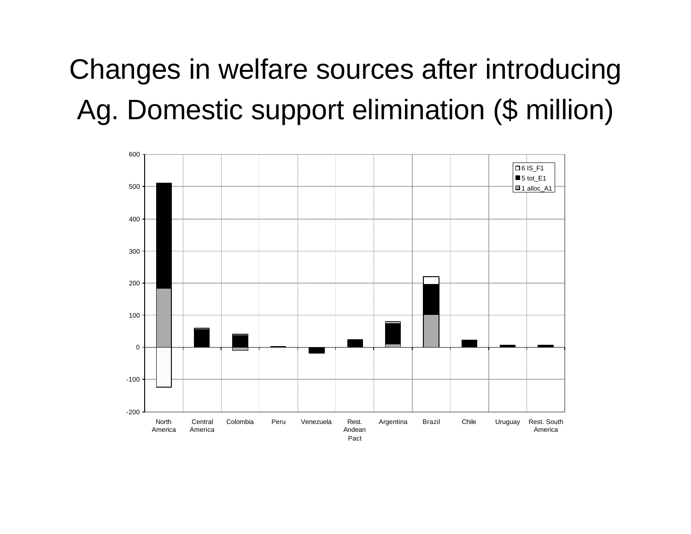### Changes in welfare sources after introducing Ag. Domestic support elimination (\$ million)

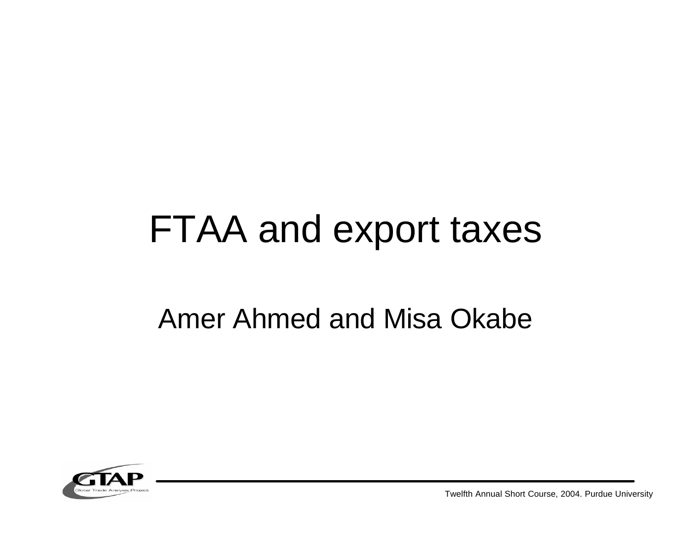## FTAA and export taxes

#### Amer Ahmed and Misa Okabe



Twelfth Annual Short Course, 2004. Purdue University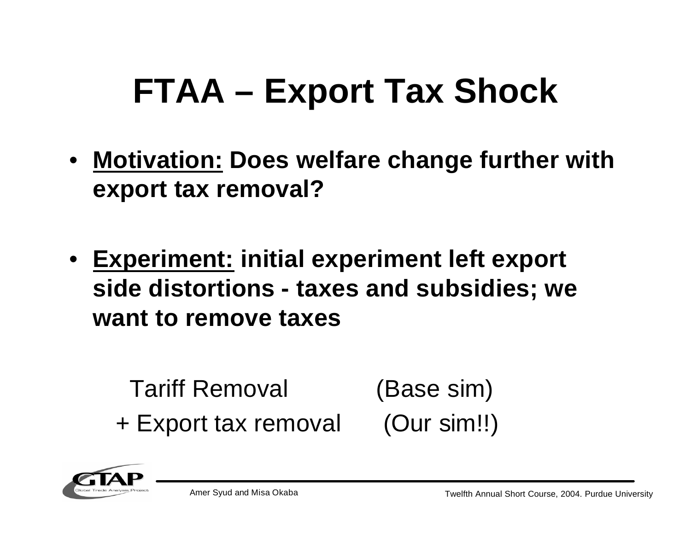## **FTAA – Export Tax Shock**

- **Motivation: Does welfare change further with export tax removal?**
- **Experiment: initial experiment left export side distortions - taxes and subsidies; we want to remove taxes**

Tariff Removal (Base sim) + Export tax removal (Our sim!!)

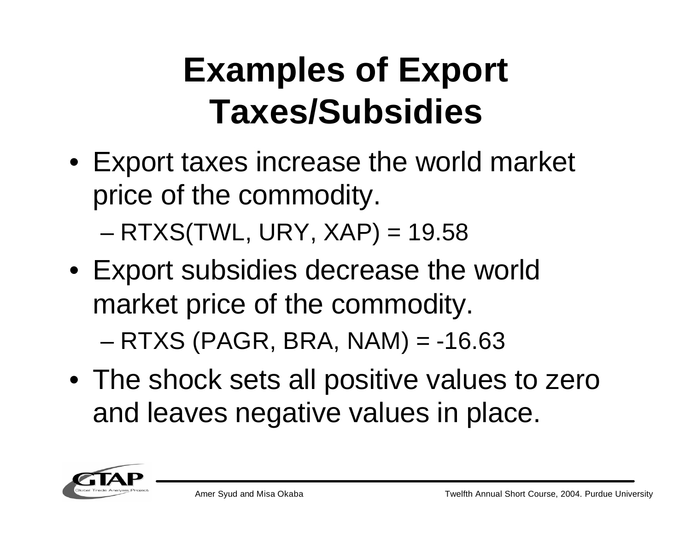## **Examples of Export Taxes/Subsidies**

- Export taxes increase the world market price of the commodity.  $-$  RTXS(TWL, URY, XAP) = 19.58
- Export subsidies decrease the world market price of the commodity.  $-$  RTXS (PAGR, BRA, NAM) =  $-16.63$
- The shock sets all positive values to zero and leaves negative values in place.

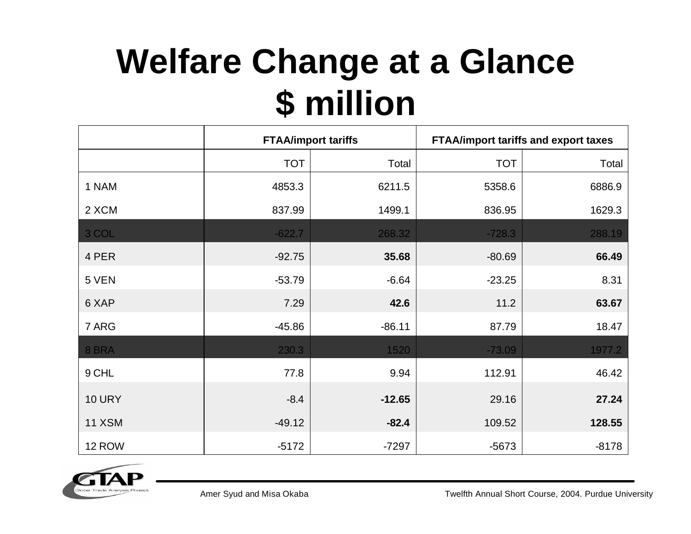## **Welfare Change at a Glance \$ million**

|               |            | <b>FTAA/import tariffs</b> |            | <b>FTAA/import tariffs and export taxes</b> |
|---------------|------------|----------------------------|------------|---------------------------------------------|
|               | <b>TOT</b> | Total                      | <b>TOT</b> | Total                                       |
| 1 NAM         | 4853.3     | 6211.5                     | 5358.6     | 6886.9                                      |
| 2 XCM         | 837.99     | 1499.1                     | 836.95     | 1629.3                                      |
| 3 COL         | $-622.7$   | 268.32                     | $-728.3$   | 288.19                                      |
| 4 PER         | $-92.75$   | 35.68                      | $-80.69$   | 66.49                                       |
| 5 VEN         | $-53.79$   | $-6.64$                    | $-23.25$   | 8.31                                        |
| 6 XAP         | 7.29       | 42.6                       | 11.2       | 63.67                                       |
| 7 ARG         | $-45.86$   | $-86.11$                   | 87.79      | 18.47                                       |
| 8 BRA         | 230.3      | 1520                       | $-73.09$   | 1977.2                                      |
| 9 CHL         | 77.8       | 9.94                       | 112.91     | 46.42                                       |
| <b>10 URY</b> | $-8.4$     | $-12.65$                   | 29.16      | 27.24                                       |
| <b>11 XSM</b> | $-49.12$   | $-82.4$                    | 109.52     | 128.55                                      |
| 12 ROW        | $-5172$    | $-7297$                    | $-5673$    | $-8178$                                     |

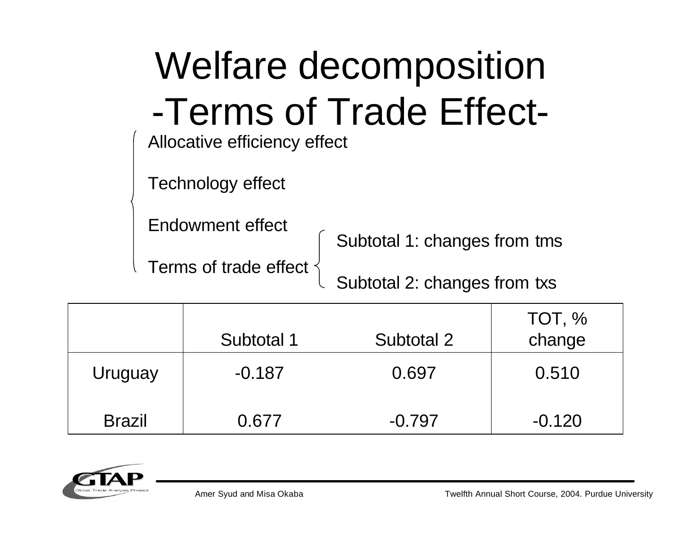| <b>Welfare decomposition</b> |                              |  |  |
|------------------------------|------------------------------|--|--|
| Allocative efficiency effect | -Terms of Trade Effect-      |  |  |
| Technology effect            |                              |  |  |
| Endowment effect             | Subtotal 1: changes from tms |  |  |
| Terms of trade effect        | Subtotal 2: changes from txs |  |  |

|               | Subtotal 1 | Subtotal 2 | TOT, %<br>change |
|---------------|------------|------------|------------------|
| Uruguay       | $-0.187$   | 0.697      | 0.510            |
| <b>Brazil</b> | 0.677      | $-0.797$   | $-0.120$         |

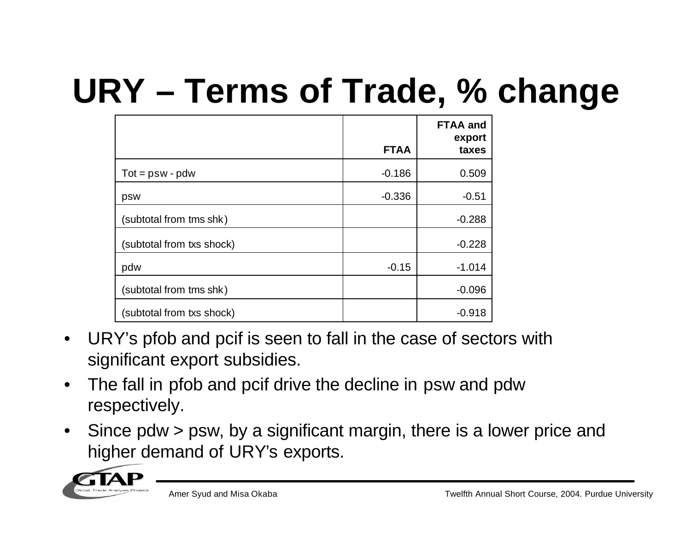## **URY – Terms of Trade, % change**

|                           | <b>FTAA</b> | <b>FTAA and</b><br>export<br>taxes |
|---------------------------|-------------|------------------------------------|
|                           |             |                                    |
| $Tot = psw - pdw$         | $-0.186$    | 0.509                              |
| psw                       | $-0.336$    | $-0.51$                            |
| (subtotal from tms shk)   |             | $-0.288$                           |
| (subtotal from txs shock) |             | $-0.228$                           |
| pdw                       | $-0.15$     | $-1.014$                           |
| (subtotal from tms shk)   |             | $-0.096$                           |
| (subtotal from txs shock) |             | $-0.918$                           |

- URY's pfob and pcif is seen to fall in the case of sectors with significant export subsidies.
- The fall in pfob and pcif drive the decline in psw and pdw respectively.
- Since pdw > psw, by a significant margin, there is a lower price and higher demand of URY's exports.

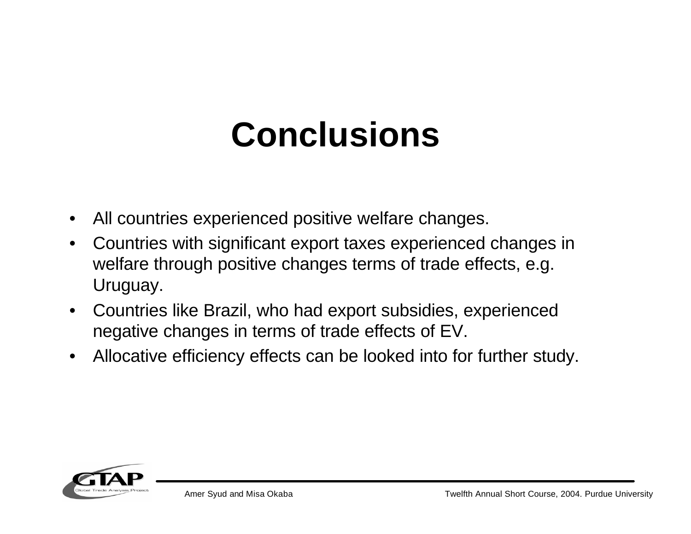### **Conclusions**

- All countries experienced positive welfare changes.
- Countries with significant export taxes experienced changes in welfare through positive changes terms of trade effects, e.g. Uruguay.
- Countries like Brazil, who had export subsidies, experienced negative changes in terms of trade effects of EV.
- Allocative efficiency effects can be looked into for further study.

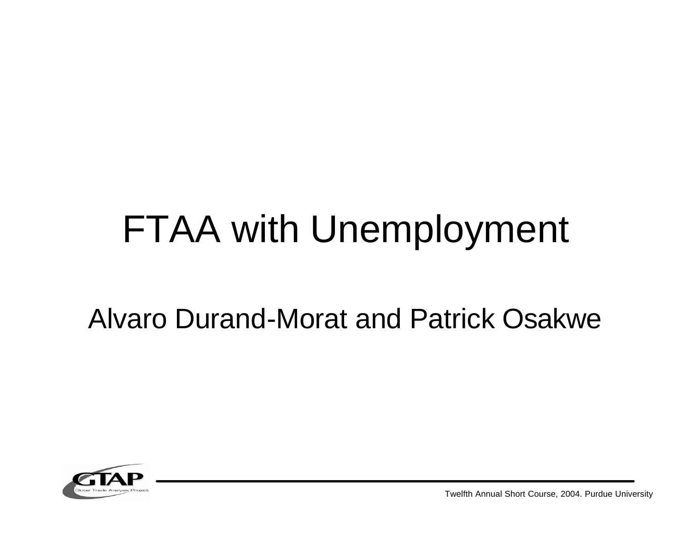## FTAA with Unemployment

#### Alvaro Durand-Morat and Patrick Osakwe



Twelfth Annual Short Course, 2004. Purdue University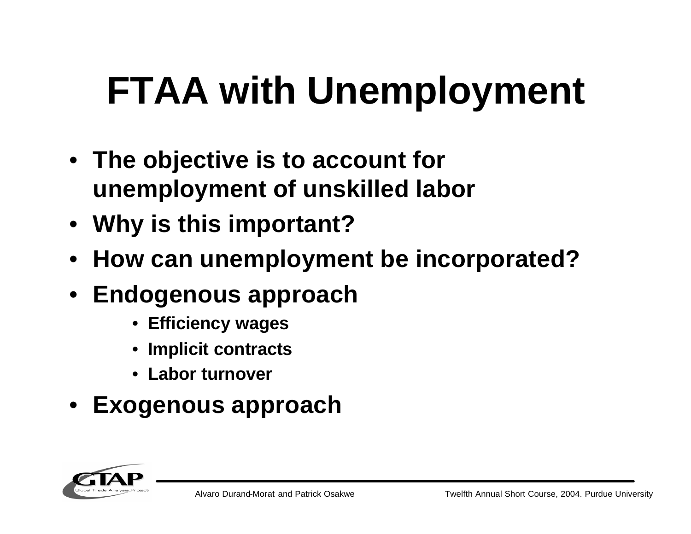## **FTAA with Unemployment**

- **The objective is to account for unemployment of unskilled labor**
- **Why is this important?**
- **How can unemployment be incorporated?**
- **Endogenous approach**
	- **Efficiency wages**
	- **Implicit contracts**
	- **Labor turnover**
- **Exogenous approach**

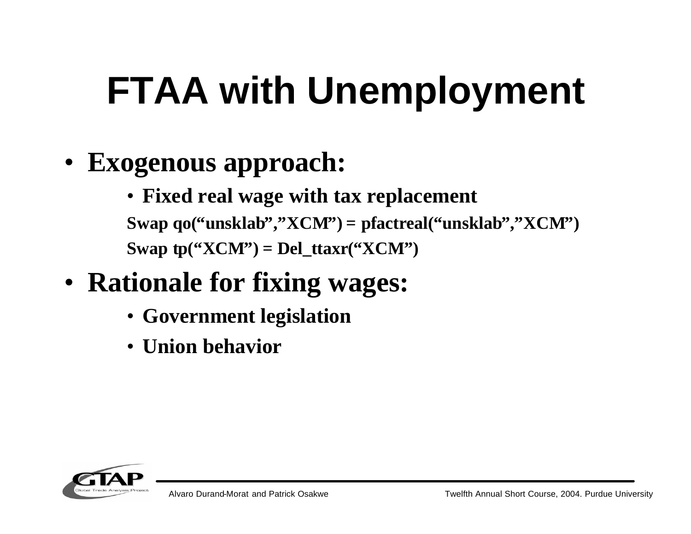# **FTAA with Unemployment**

- **Exogenous approach:**
	- **Fixed real wage with tax replacement Swap qo("unsklab" , "XCM") = pfactreal("unsklab" , "XCM") Swap tp("XCM") = Del\_ttaxr("XCM")**
- **Rationale for fixing wages:**
	- **Government legislation**
	- **Union behavior**

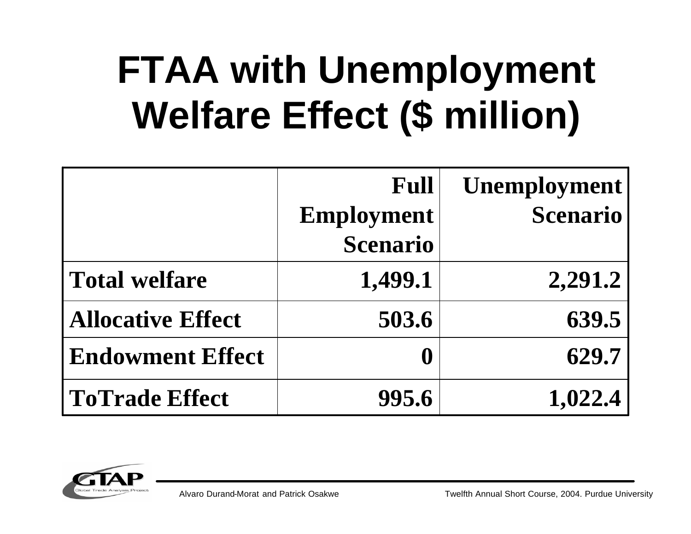## **FTAA with Unemployment Welfare Effect (\$ million)**

|                          | Full              | <b>Unemployment</b> |
|--------------------------|-------------------|---------------------|
|                          | <b>Employment</b> | <b>Scenario</b>     |
|                          | <b>Scenario</b>   |                     |
| <b>Total welfare</b>     | 1,499.1           | 2,291.2             |
| <b>Allocative Effect</b> | 503.6             | 639.5               |
| <b>Endowment Effect</b>  | $\mathbf \theta$  | 629.7               |
| <b>ToTrade Effect</b>    | 995.6             | 1,022.4             |



Alvaro Durand-Morat and Patrick Osakwe Twelfth Annual Short Course, 2004. Purdue University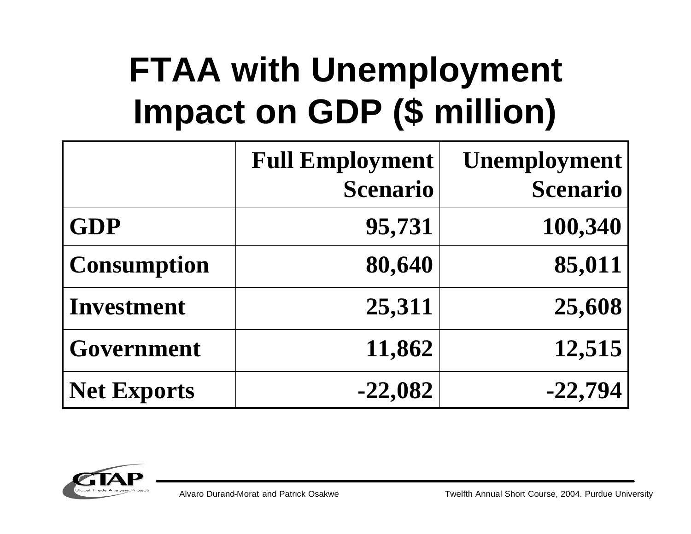## **FTAA with Unemployment Impact on GDP (\$ million)**

|                    | <b>Full Employment</b><br><b>Scenario</b> | <b>Unemployment</b><br><b>Scenario</b> |
|--------------------|-------------------------------------------|----------------------------------------|
| <b>GDP</b>         | 95,731                                    | 100,340                                |
| <b>Consumption</b> | 80,640                                    | 85,011                                 |
| <b>Investment</b>  | 25,311                                    | 25,608                                 |
| Government         | 11,862                                    | 12,515                                 |
| <b>Net Exports</b> | $-22,082$                                 | $-22,794$                              |

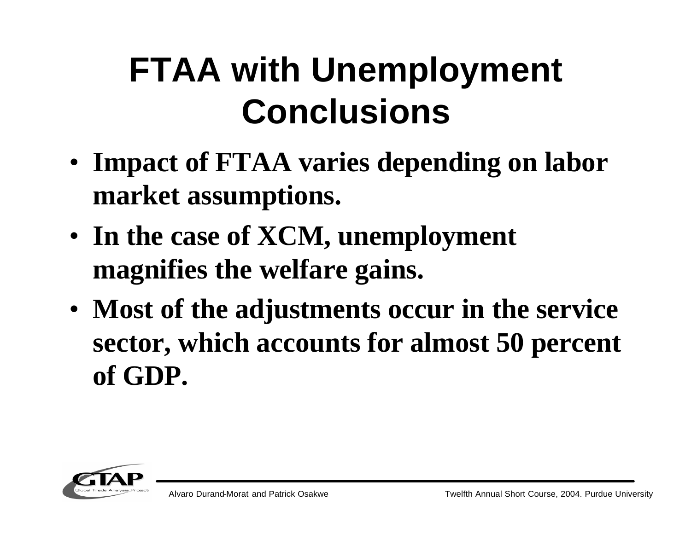## **FTAA with Unemployment Conclusions**

- **Impact of FTAA varies depending on labor market assumptions.**
- **In the case of XCM, unemployment magnifies the welfare gains.**
- **Most of the adjustments occur in the service sector, which accounts for almost 50 percent of GDP.**

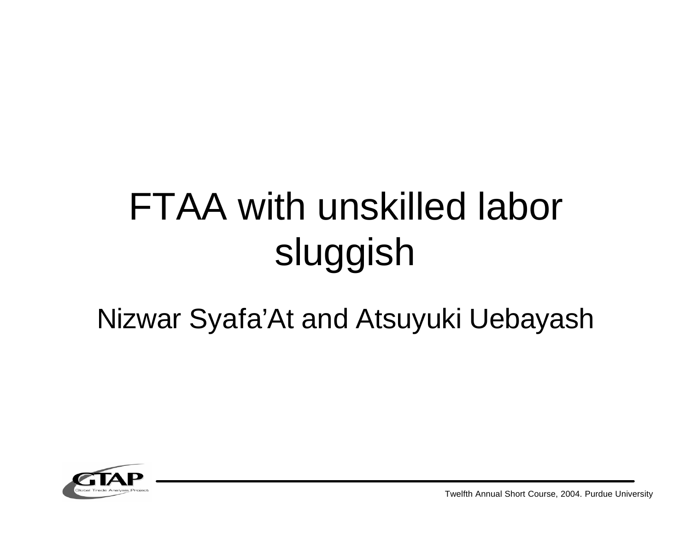## FTAA with unskilled labor sluggish

### Nizwar Syafa'At and Atsuyuki Uebayash



Twelfth Annual Short Course, 2004. Purdue University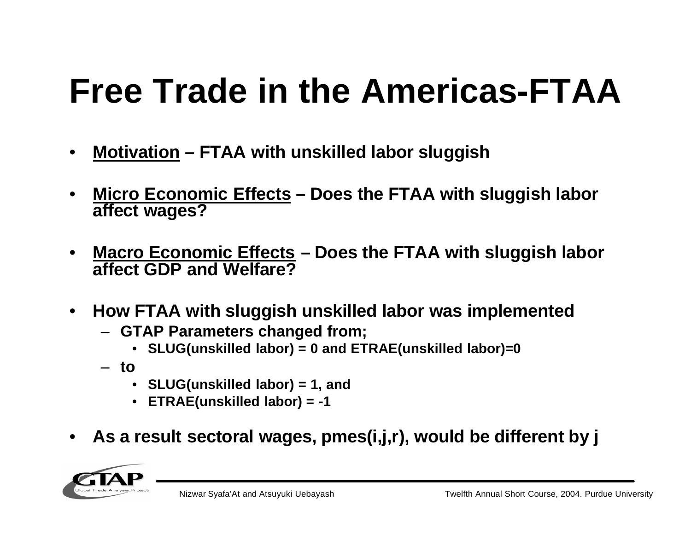- **Motivation – FTAA with unskilled labor sluggish**
- **Micro Economic Effects – Does the FTAA with sluggish labor affect wages?**
- **Macro Economic Effects – Does the FTAA with sluggish labor affect GDP and Welfare?**
- **How FTAA with sluggish unskilled labor was implemented**
	- **GTAP Parameters changed from;**
		- **SLUG(unskilled labor) = 0 and ETRAE(unskilled labor)=0**
	- **to**
		- **SLUG(unskilled labor) = 1, and**
		- **ETRAE(unskilled labor) = -1**
- **As a result sectoral wages, pmes(i,j,r), would be different by j**

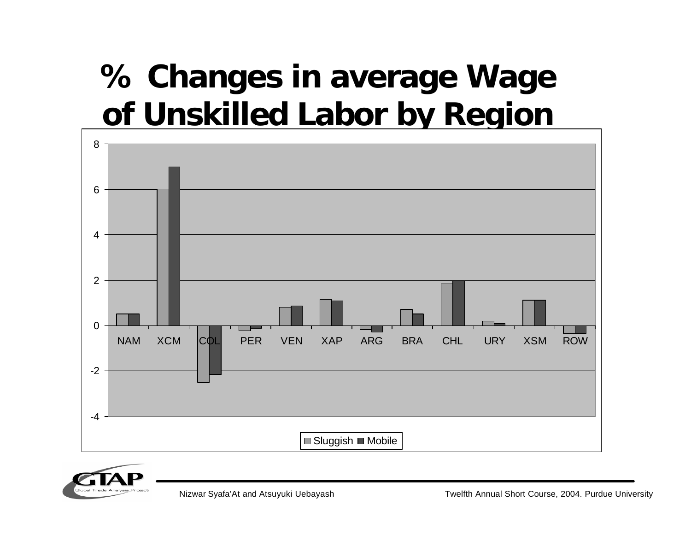### **% Changes in average Wage of Unskilled Labor by Region**





Nizwar Syafa'At and Atsuyuki Uebayash Twelfth Annual Short Course, 2004. Purdue University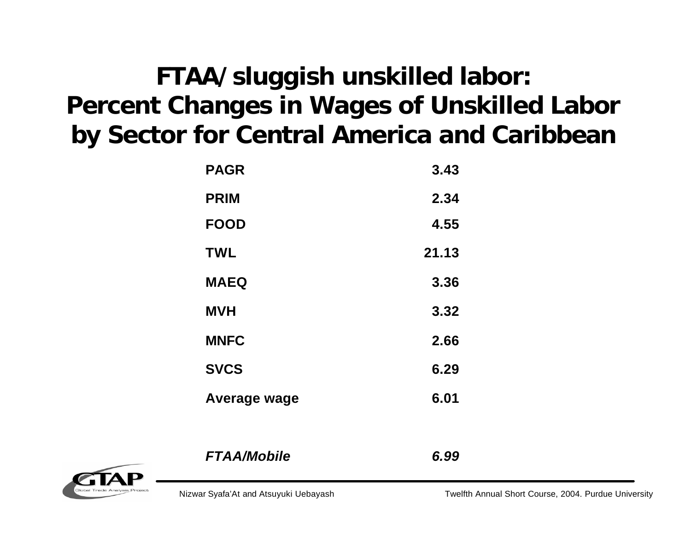#### **FTAA/sluggish unskilled labor: Percent Changes in Wages of Unskilled Labor by Sector for Central America and Caribbean**

| <b>PAGR</b>  | 3.43  |
|--------------|-------|
| <b>PRIM</b>  | 2.34  |
| <b>FOOD</b>  | 4.55  |
| <b>TWL</b>   | 21.13 |
| <b>MAEQ</b>  | 3.36  |
| <b>MVH</b>   | 3.32  |
| <b>MNFC</b>  | 2.66  |
| <b>SVCS</b>  | 6.29  |
| Average wage | 6.01  |



*FTAA/Mobile 6.99*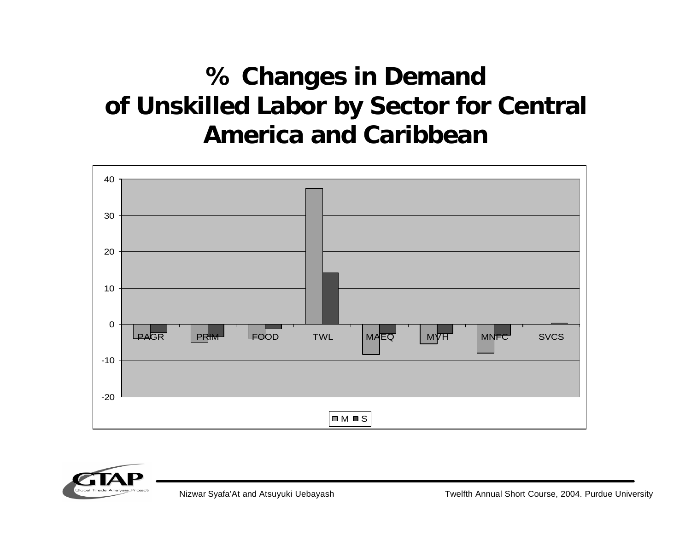#### **% Changes in Demand of Unskilled Labor by Sector for Central America and Caribbean**





Nizwar Syafa'At and Atsuyuki Uebayash Twelfth Annual Short Course, 2004. Purdue University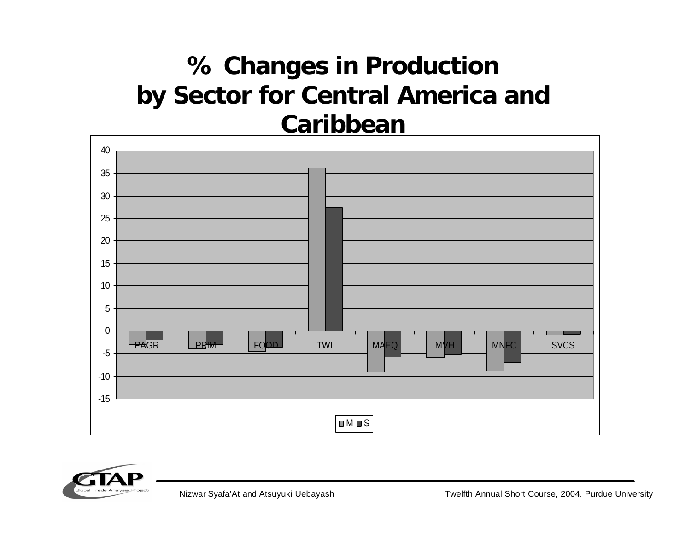#### **% Changes in Production by Sector for Central America and Caribbean**



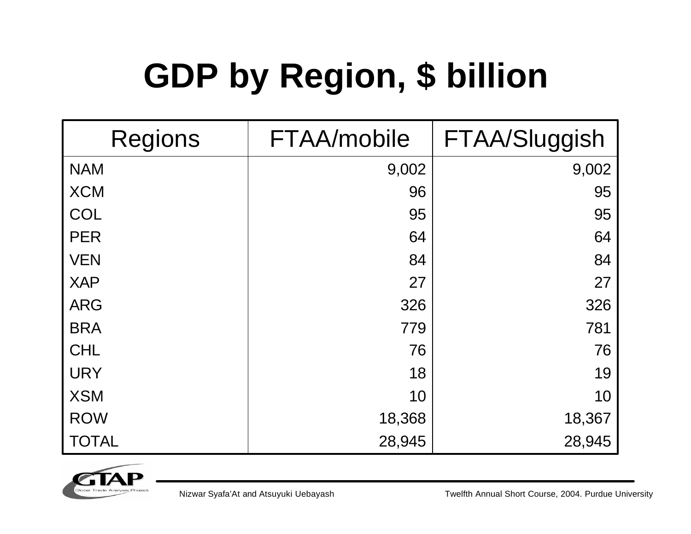## **GDP by Region, \$ billion**

| <b>Regions</b> | FTAA/mobile | FTAA/Sluggish |
|----------------|-------------|---------------|
| <b>NAM</b>     | 9,002       | 9,002         |
| <b>XCM</b>     | 96          | 95            |
| <b>COL</b>     | 95          | 95            |
| <b>PER</b>     | 64          | 64            |
| <b>VEN</b>     | 84          | 84            |
| <b>XAP</b>     | 27          | 27            |
| <b>ARG</b>     | 326         | 326           |
| <b>BRA</b>     | 779         | 781           |
| <b>CHL</b>     | 76          | 76            |
| <b>URY</b>     | 18          | 19            |
| <b>XSM</b>     | 10          | 10            |
| <b>ROW</b>     | 18,368      | 18,367        |
| <b>TOTAL</b>   | 28,945      | 28,945        |



Nizwar Syafa'At and Atsuyuki Uebayash Twelfth Annual Short Course, 2004. Purdue University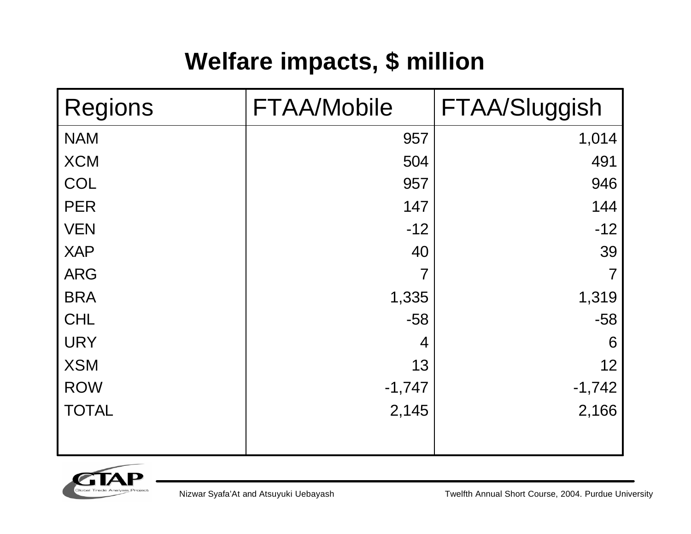#### **Welfare impacts, \$ million**

| <b>Regions</b> | <b>FTAA/Mobile</b> | FTAA/Sluggish |
|----------------|--------------------|---------------|
| <b>NAM</b>     | 957                | 1,014         |
| <b>XCM</b>     | 504                | 491           |
| COL            | 957                | 946           |
| <b>PER</b>     | 147                | 144           |
| <b>VEN</b>     | $-12$              | $-12$         |
| <b>XAP</b>     | 40                 | 39            |
| <b>ARG</b>     | $\overline{7}$     |               |
| <b>BRA</b>     | 1,335              | 1,319         |
| <b>CHL</b>     | $-58$              | $-58$         |
| <b>URY</b>     | 4                  | 6             |
| <b>XSM</b>     | 13                 | 12            |
| <b>ROW</b>     | $-1,747$           | $-1,742$      |
| <b>TOTAL</b>   | 2,145              | 2,166         |
|                |                    |               |